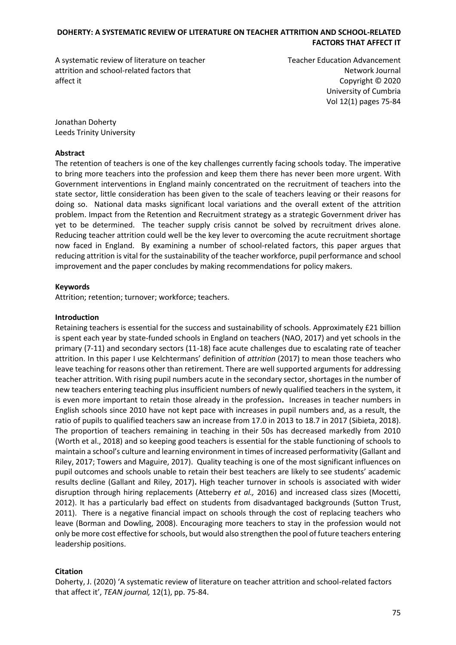A systematic review of literature on teacher attrition and school-related factors that affect it

Teacher Education Advancement Network Journal Copyright © 2020 University of Cumbria Vol 12(1) pages 75-84

Jonathan Doherty Leeds Trinity University

#### **Abstract**

The retention of teachers is one of the key challenges currently facing schools today. The imperative to bring more teachers into the profession and keep them there has never been more urgent. With Government interventions in England mainly concentrated on the recruitment of teachers into the state sector, little consideration has been given to the scale of teachers leaving or their reasons for doing so. National data masks significant local variations and the overall extent of the attrition problem. Impact from the Retention and Recruitment strategy as a strategic Government driver has yet to be determined. The teacher supply crisis cannot be solved by recruitment drives alone. Reducing teacher attrition could well be the key lever to overcoming the acute recruitment shortage now faced in England. By examining a number of school-related factors, this paper argues that reducing attrition is vital for the sustainability of the teacher workforce, pupil performance and school improvement and the paper concludes by making recommendations for policy makers.

### **Keywords**

Attrition; retention; turnover; workforce; teachers.

#### **Introduction**

Retaining teachers is essential for the success and sustainability of schools. Approximately £21 billion is spent each year by state-funded schools in England on teachers (NAO, 2017) and yet schools in the primary (7-11) and secondary sectors (11-18) face acute challenges due to escalating rate of teacher attrition. In this paper I use Kelchtermans' definition of *attrition* (2017) to mean those teachers who leave teaching for reasons other than retirement. There are well supported arguments for addressing teacher attrition. With rising pupil numbers acute in the secondary sector, shortages in the number of new teachers entering teaching plus insufficient numbers of newly qualified teachers in the system, it is even more important to retain those already in the profession**.** Increases in teacher numbers in English schools since 2010 have not kept pace with increases in pupil numbers and, as a result, the ratio of pupils to qualified teachers saw an increase from 17.0 in 2013 to 18.7 in 2017 (Sibieta, 2018). The proportion of teachers remaining in teaching in their 50s has decreased markedly from 2010 (Worth et al., 2018) and so keeping good teachers is essential for the stable functioning of schools to maintain a school's culture and learning environment in times of increased performativity (Gallant and Riley, 2017; Towers and Maguire, 2017). Quality teaching is one of the most significant influences on pupil outcomes and schools unable to retain their best teachers are likely to see students' academic results decline (Gallant and Riley, 2017)**.** High teacher turnover in schools is associated with wider disruption through hiring replacements (Atteberry *et al.,* 2016) and increased class sizes (Mocetti, 2012). It has a particularly bad effect on students from disadvantaged backgrounds (Sutton Trust, 2011). There is a negative financial impact on schools through the cost of replacing teachers who leave (Borman and Dowling, 2008). Encouraging more teachers to stay in the profession would not only be more cost effective for schools, but would also strengthen the pool of future teachers entering leadership positions.

# **Citation**

Doherty, J. (2020) 'A systematic review of literature on teacher attrition and school-related factors that affect it', *TEAN journal,* 12(1), pp. 75-84.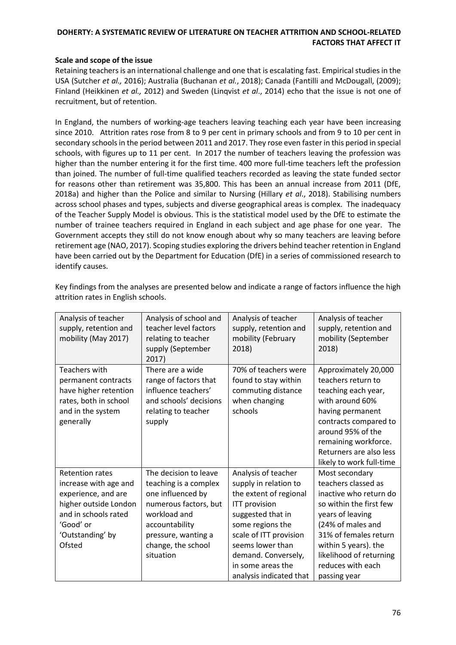### **Scale and scope of the issue**

Retaining teachers is an international challenge and one that is escalating fast. Empirical studies in the USA (Sutcher *et al.,* 2016); Australia (Buchanan *et al.*, 2018); Canada (Fantilli and McDougall, (2009); Finland (Heikkinen *et al.,* 2012) and Sweden (Linqvist *et al*., 2014) echo that the issue is not one of recruitment, but of retention.

In England, the numbers of working-age teachers leaving teaching each year have been increasing since 2010. Attrition rates rose from 8 to 9 per cent in primary schools and from 9 to 10 per cent in secondary schools in the period between 2011 and 2017. They rose even faster in this period in special schools, with figures up to 11 per cent. In 2017 the number of teachers leaving the profession was higher than the number entering it for the first time. 400 more full-time teachers left the profession than joined. The number of full-time qualified teachers recorded as leaving the state funded sector for reasons other than retirement was 35,800. This has been an annual increase from 2011 (DfE, 2018a) and higher than the Police and similar to Nursing (Hillary *et al*., 2018). Stabilising numbers across school phases and types, subjects and diverse geographical areas is complex. The inadequacy of the Teacher Supply Model is obvious. This is the statistical model used by the DfE to estimate the number of trainee teachers required in England in each subject and age phase for one year. The Government accepts they still do not know enough about why so many teachers are leaving before retirement age (NAO, 2017). Scoping studies exploring the drivers behind teacher retention in England have been carried out by the Department for Education (DfE) in a series of commissioned research to identify causes.

| Analysis of teacher<br>supply, retention and<br>mobility (May 2017) | Analysis of school and<br>teacher level factors<br>relating to teacher<br>supply (September<br>2017) | Analysis of teacher<br>supply, retention and<br>mobility (February<br>2018) | Analysis of teacher<br>supply, retention and<br>mobility (September<br>2018) |
|---------------------------------------------------------------------|------------------------------------------------------------------------------------------------------|-----------------------------------------------------------------------------|------------------------------------------------------------------------------|
| <b>Teachers with</b>                                                | There are a wide                                                                                     | 70% of teachers were                                                        | Approximately 20,000                                                         |
| permanent contracts                                                 | range of factors that                                                                                | found to stay within                                                        | teachers return to                                                           |
| have higher retention                                               | influence teachers'                                                                                  | commuting distance                                                          | teaching each year,                                                          |
| rates, both in school                                               | and schools' decisions                                                                               | when changing                                                               | with around 60%                                                              |
| and in the system                                                   | relating to teacher                                                                                  | schools                                                                     | having permanent                                                             |
| generally                                                           | supply                                                                                               |                                                                             | contracts compared to                                                        |
|                                                                     |                                                                                                      |                                                                             | around 95% of the                                                            |
|                                                                     |                                                                                                      |                                                                             | remaining workforce.                                                         |
|                                                                     |                                                                                                      |                                                                             | Returners are also less                                                      |
|                                                                     |                                                                                                      |                                                                             | likely to work full-time                                                     |
| <b>Retention rates</b>                                              | The decision to leave                                                                                | Analysis of teacher                                                         | Most secondary                                                               |
| increase with age and                                               | teaching is a complex                                                                                | supply in relation to                                                       | teachers classed as                                                          |
| experience, and are                                                 | one influenced by                                                                                    | the extent of regional                                                      | inactive who return do                                                       |
| higher outside London                                               | numerous factors, but                                                                                | <b>ITT provision</b>                                                        | so within the first few                                                      |
| and in schools rated                                                | workload and                                                                                         | suggested that in                                                           | years of leaving                                                             |
| 'Good' or                                                           | accountability                                                                                       | some regions the                                                            | (24% of males and                                                            |
| 'Outstanding' by                                                    | pressure, wanting a                                                                                  | scale of ITT provision                                                      | 31% of females return                                                        |
| Ofsted                                                              | change, the school                                                                                   | seems lower than                                                            | within 5 years). the                                                         |
|                                                                     | situation                                                                                            | demand. Conversely,                                                         | likelihood of returning                                                      |
|                                                                     |                                                                                                      | in some areas the                                                           | reduces with each                                                            |
|                                                                     |                                                                                                      | analysis indicated that                                                     | passing year                                                                 |

Key findings from the analyses are presented below and indicate a range of factors influence the high attrition rates in English schools.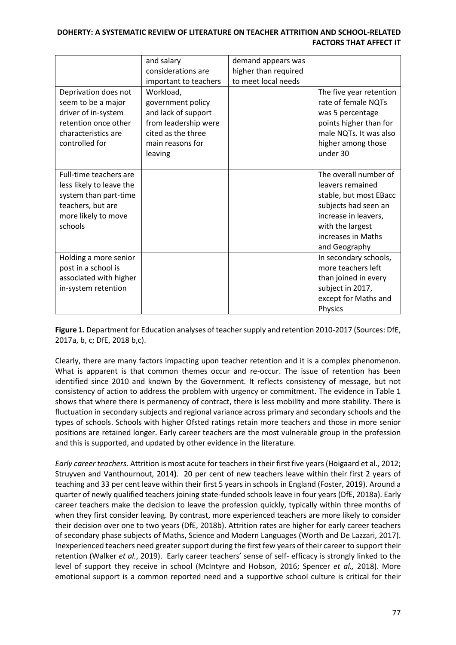|                                                                                                                                    | and salary                                                                                                                         | demand appears was   |                                                                                                                                                                                |
|------------------------------------------------------------------------------------------------------------------------------------|------------------------------------------------------------------------------------------------------------------------------------|----------------------|--------------------------------------------------------------------------------------------------------------------------------------------------------------------------------|
|                                                                                                                                    | considerations are                                                                                                                 | higher than required |                                                                                                                                                                                |
|                                                                                                                                    | important to teachers                                                                                                              | to meet local needs  |                                                                                                                                                                                |
| Deprivation does not<br>seem to be a major<br>driver of in-system<br>retention once other<br>characteristics are<br>controlled for | Workload,<br>government policy<br>and lack of support<br>from leadership were<br>cited as the three<br>main reasons for<br>leaving |                      | The five year retention<br>rate of female NQTs<br>was 5 percentage<br>points higher than for<br>male NQTs. It was also<br>higher among those<br>under 30                       |
| Full-time teachers are<br>less likely to leave the<br>system than part-time<br>teachers, but are<br>more likely to move<br>schools |                                                                                                                                    |                      | The overall number of<br>leavers remained<br>stable, but most EBacc<br>subjects had seen an<br>increase in leavers,<br>with the largest<br>increases in Maths<br>and Geography |
| Holding a more senior<br>post in a school is<br>associated with higher<br>in-system retention                                      |                                                                                                                                    |                      | In secondary schools,<br>more teachers left<br>than joined in every<br>subject in 2017,<br>except for Maths and<br>Physics                                                     |

**Figure 1.** Department for Education analyses of teacher supply and retention 2010-2017 (Sources: DfE, 2017a, b, c; DfE, 2018 b,c).

Clearly, there are many factors impacting upon teacher retention and it is a complex phenomenon. What is apparent is that common themes occur and re-occur. The issue of retention has been identified since 2010 and known by the Government. It reflects consistency of message, but not consistency of action to address the problem with urgency or commitment. The evidence in Table 1 shows that where there is permanency of contract, there is less mobility and more stability. There is fluctuation in secondary subjects and regional variance across primary and secondary schools and the types of schools. Schools with higher Ofsted ratings retain more teachers and those in more senior positions are retained longer. Early career teachers are the most vulnerable group in the profession and this is supported, and updated by other evidence in the literature.

*Early career teachers.* Attrition is most acute for teachers in their first five years (Hoigaard et al., 2012; Struyven and Vanthournout, 2014**)**. 20 per cent of new teachers leave within their first 2 years of teaching and 33 per cent leave within their first 5 years in schools in England (Foster, 2019). Around a quarter of newly qualified teachers joining state-funded schools leave in four years (DfE, 2018a). Early career teachers make the decision to leave the profession quickly, typically within three months of when they first consider leaving. By contrast, more experienced teachers are more likely to consider their decision over one to two years (DfE, 2018b). Attrition rates are higher for early career teachers of secondary phase subjects of Maths, Science and Modern Languages (Worth and De Lazzari, 2017). Inexperienced teachers need greater support during the first few years of their career to support their retention (Walker *et al.*, 2019). Early career teachers' sense of self- efficacy is strongly linked to the level of support they receive in school (McIntyre and Hobson, 2016; Spencer *et al.,* 2018). More emotional support is a common reported need and a supportive school culture is critical for their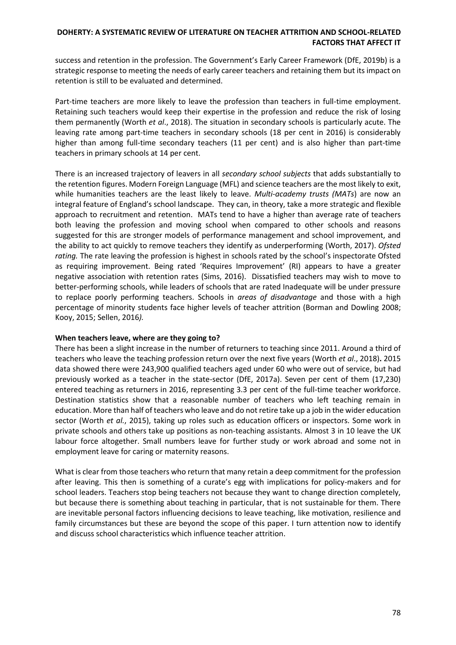success and retention in the profession. The Government's Early Career Framework (DfE, 2019b) is a strategic response to meeting the needs of early career teachers and retaining them but its impact on retention is still to be evaluated and determined.

Part-time teachers are more likely to leave the profession than teachers in full-time employment. Retaining such teachers would keep their expertise in the profession and reduce the risk of losing them permanently (Worth *et al*., 2018). The situation in secondary schools is particularly acute. The leaving rate among part-time teachers in secondary schools (18 per cent in 2016) is considerably higher than among full-time secondary teachers (11 per cent) and is also higher than part-time teachers in primary schools at 14 per cent.

There is an increased trajectory of leavers in all *secondary school subjects* that adds substantially to the retention figures. Modern Foreign Language (MFL) and science teachers are the most likely to exit, while humanities teachers are the least likely to leave. *Multi-academy trusts (MATs*) are now an integral feature of England's school landscape. They can, in theory, take a more strategic and flexible approach to recruitment and retention. MATs tend to have a higher than average rate of teachers both leaving the profession and moving school when compared to other schools and reasons suggested for this are stronger models of performance management and school improvement, and the ability to act quickly to remove teachers they identify as underperforming (Worth, 2017). *Ofsted rating.* The rate leaving the profession is highest in schools rated by the school's inspectorate Ofsted as requiring improvement. Being rated 'Requires Improvement' (RI) appears to have a greater negative association with retention rates (Sims, 2016). Dissatisfied teachers may wish to move to better-performing schools, while leaders of schools that are rated Inadequate will be under pressure to replace poorly performing teachers. Schools in *areas of disadvantage* and those with a high percentage of minority students face higher levels of teacher attrition (Borman and Dowling 2008; Kooy, 2015; Sellen, 2016*).*

#### **When teachers leave, where are they going to?**

There has been a slight increase in the number of returners to teaching since 2011. Around a third of teachers who leave the teaching profession return over the next five years (Worth *et al*., 2018)**.** 2015 data showed there were 243,900 qualified teachers aged under 60 who were out of service, but had previously worked as a teacher in the state-sector (DfE, 2017a). Seven per cent of them (17,230) entered teaching as returners in 2016, representing 3.3 per cent of the full-time teacher workforce. Destination statistics show that a reasonable number of teachers who left teaching remain in education. More than half of teachers who leave and do not retire take up a job in the wider education sector (Worth *et al.*, 2015), taking up roles such as education officers or inspectors. Some work in private schools and others take up positions as non-teaching assistants. Almost 3 in 10 leave the UK labour force altogether. Small numbers leave for further study or work abroad and some not in employment leave for caring or maternity reasons.

What is clear from those teachers who return that many retain a deep commitment for the profession after leaving. This then is something of a curate's egg with implications for policy-makers and for school leaders. Teachers stop being teachers not because they want to change direction completely, but because there is something about teaching in particular, that is not sustainable for them. There are inevitable personal factors influencing decisions to leave teaching, like motivation, resilience and family circumstances but these are beyond the scope of this paper. I turn attention now to identify and discuss school characteristics which influence teacher attrition.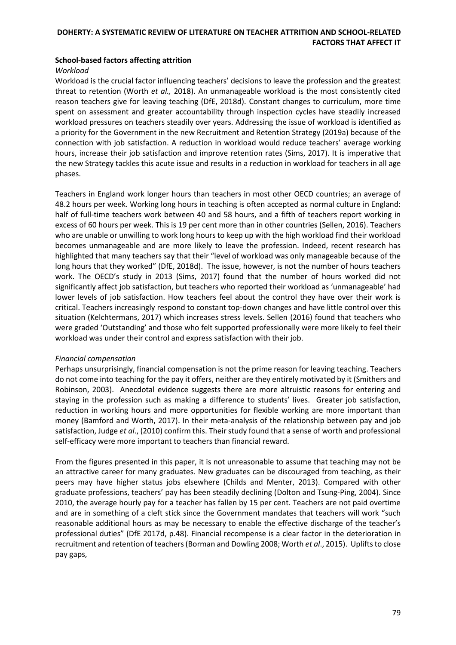## **School-based factors affecting attrition**

#### *Workload*

Workload is the crucial factor influencing teachers' decisions to leave the profession and the greatest threat to retention (Worth *et al.,* 2018). An unmanageable workload is the most consistently cited reason teachers give for leaving teaching (DfE, 2018d). Constant changes to curriculum, more time spent on assessment and greater accountability through inspection cycles have steadily increased workload pressures on teachers steadily over years. Addressing the issue of workload is identified as a priority for the Government in the new Recruitment and Retention Strategy (2019a) because of the connection with job satisfaction. A reduction in workload would reduce teachers' average working hours, increase their job satisfaction and improve retention rates (Sims, 2017). It is imperative that the new Strategy tackles this acute issue and results in a reduction in workload for teachers in all age phases.

Teachers in England work longer hours than teachers in most other OECD countries; an average of 48.2 hours per week. Working long hours in teaching is often accepted as normal culture in England: half of full-time teachers work between 40 and 58 hours, and a fifth of teachers report working in excess of 60 hours per week. This is 19 per cent more than in other countries (Sellen, 2016). Teachers who are unable or unwilling to work long hours to keep up with the high workload find their workload becomes unmanageable and are more likely to leave the profession. Indeed, recent research has highlighted that many teachers say that their "level of workload was only manageable because of the long hours that they worked" (DfE, 2018d).The issue, however, is not the number of hours teachers work. The OECD's study in 2013 (Sims, 2017) found that the number of hours worked did not significantly affect job satisfaction, but teachers who reported their workload as 'unmanageable' had lower levels of job satisfaction. How teachers feel about the control they have over their work is critical. Teachers increasingly respond to constant top-down changes and have little control over this situation (Kelchtermans, 2017) which increases stress levels. Sellen (2016) found that teachers who were graded 'Outstanding' and those who felt supported professionally were more likely to feel their workload was under their control and express satisfaction with their job.

#### *Financial compensation*

Perhaps unsurprisingly, financial compensation is not the prime reason for leaving teaching. Teachers do not come into teaching for the pay it offers, neither are they entirely motivated by it (Smithers and Robinson, 2003). Anecdotal evidence suggests there are more altruistic reasons for entering and staying in the profession such as making a difference to students' lives. Greater job satisfaction, reduction in working hours and more opportunities for flexible working are more important than money (Bamford and Worth, 2017). In their meta-analysis of the relationship between pay and job satisfaction, Judge *et al*., (2010) confirm this. Their study found that a sense of worth and professional self-efficacy were more important to teachers than financial reward.

From the figures presented in this paper, it is not unreasonable to assume that teaching may not be an attractive career for many graduates. New graduates can be discouraged from teaching, as their peers may have higher status jobs elsewhere (Childs and Menter, 2013). Compared with other graduate professions, teachers' pay has been steadily declining (Dolton and Tsung-Ping, 2004). Since 2010, the average hourly pay for a teacher has fallen by 15 per cent. Teachers are not paid overtime and are in something of a cleft stick since the Government mandates that teachers will work "such reasonable additional hours as may be necessary to enable the effective discharge of the teacher's professional duties" (DfE 2017d, p.48). Financial recompense is a clear factor in the deterioration in recruitment and retention of teachers (Borman and Dowling 2008; Worth *et al*., 2015). Uplifts to close pay gaps,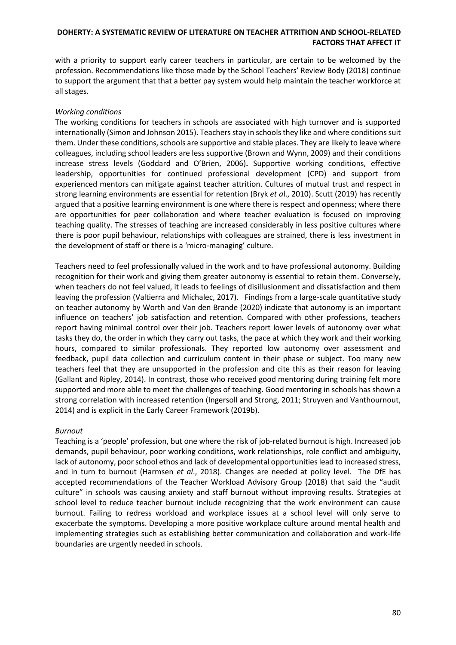with a priority to support early career teachers in particular, are certain to be welcomed by the profession. Recommendations like those made by the School Teachers' Review Body (2018) continue to support the argument that that a better pay system would help maintain the teacher workforce at all stages.

### *Working conditions*

The working conditions for teachers in schools are associated with high turnover and is supported internationally (Simon and Johnson 2015). Teachers stay in schools they like and where conditions suit them. Under these conditions, schools are supportive and stable places. They are likely to leave where colleagues, including school leaders are less supportive (Brown and Wynn, 2009) and their conditions increase stress levels (Goddard and O'Brien, 2006)**.** Supportive working conditions, effective leadership, opportunities for continued professional development (CPD) and support from experienced mentors can mitigate against teacher attrition. Cultures of mutual trust and respect in strong learning environments are essential for retention (Bryk *et a*l., 2010). Scutt (2019) has recently argued that a positive learning environment is one where there is respect and openness; where there are opportunities for peer collaboration and where teacher evaluation is focused on improving teaching quality. The stresses of teaching are increased considerably in less positive cultures where there is poor pupil behaviour, relationships with colleagues are strained, there is less investment in the development of staff or there is a 'micro-managing' culture.

Teachers need to feel professionally valued in the work and to have professional autonomy. Building recognition for their work and giving them greater autonomy is essential to retain them. Conversely, when teachers do not feel valued, it leads to feelings of disillusionment and dissatisfaction and them leaving the profession (Valtierra and Michalec, 2017). Findings from a large-scale quantitative study on teacher autonomy by Worth and Van den Brande (2020) indicate that autonomy is an important influence on teachers' job satisfaction and retention. Compared with other professions, teachers report having minimal control over their job. Teachers report lower levels of autonomy over what tasks they do, the order in which they carry out tasks, the pace at which they work and their working hours, compared to similar professionals. They reported low autonomy over assessment and feedback, pupil data collection and curriculum content in their phase or subject. Too many new teachers feel that they are unsupported in the profession and cite this as their reason for leaving (Gallant and Ripley, 2014). In contrast, those who received good mentoring during training felt more supported and more able to meet the challenges of teaching. Good mentoring in schools has shown a strong correlation with increased retention (Ingersoll and Strong, 2011; Struyven and Vanthournout, 2014) and is explicit in the Early Career Framework (2019b).

#### *Burnout*

Teaching is a 'people' profession, but one where the risk of job-related burnout is high. Increased job demands, pupil behaviour, poor working conditions, work relationships, role conflict and ambiguity, lack of autonomy, poor school ethos and lack of developmental opportunities lead to increased stress, and in turn to burnout (Harmsen *et al*., 2018). Changes are needed at policy level. The DfE has accepted recommendations of the Teacher Workload Advisory Group (2018) that said the "audit culture" in schools was causing anxiety and staff burnout without improving results. Strategies at school level to reduce teacher burnout include recognizing that the work environment can cause burnout. Failing to redress workload and workplace issues at a school level will only serve to exacerbate the symptoms. Developing a more positive workplace culture around mental health and implementing strategies such as establishing better communication and collaboration and work-life boundaries are urgently needed in schools.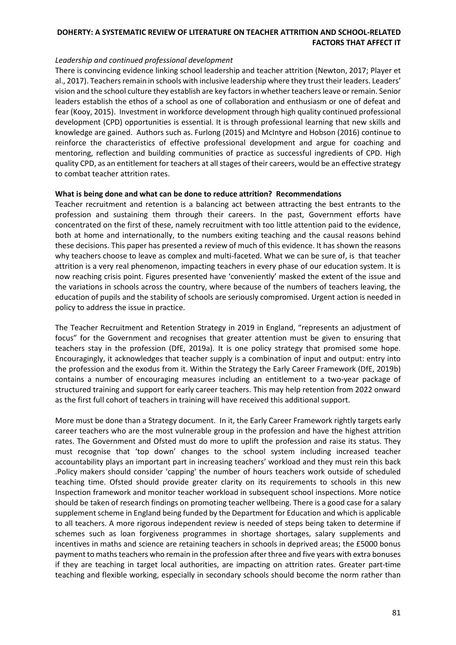#### *Leadership and continued professional development*

There is convincing evidence linking school leadership and teacher attrition (Newton, 2017; Player et al., 2017). Teachers remain in schools with inclusive leadership where they trust their leaders. Leaders' vision and the school culture they establish are key factors in whether teachers leave or remain. Senior leaders establish the ethos of a school as one of collaboration and enthusiasm or one of defeat and fear (Kooy, 2015). Investment in workforce development through high quality continued professional development (CPD) opportunities is essential. It is through professional learning that new skills and knowledge are gained. Authors such as. Furlong (2015) and McIntyre and Hobson (2016) continue to reinforce the characteristics of effective professional development and argue for coaching and mentoring, reflection and building communities of practice as successful ingredients of CPD. High quality CPD, as an entitlement for teachers at all stages of their careers, would be an effective strategy to combat teacher attrition rates.

### **What is being done and what can be done to reduce attrition? Recommendations**

Teacher recruitment and retention is a balancing act between attracting the best entrants to the profession and sustaining them through their careers. In the past, Government efforts have concentrated on the first of these, namely recruitment with too little attention paid to the evidence, both at home and internationally, to the numbers exiting teaching and the causal reasons behind these decisions. This paper has presented a review of much of this evidence. It has shown the reasons why teachers choose to leave as complex and multi-faceted. What we can be sure of, is that teacher attrition is a very real phenomenon, impacting teachers in every phase of our education system. It is now reaching crisis point. Figures presented have 'conveniently' masked the extent of the issue and the variations in schools across the country, where because of the numbers of teachers leaving, the education of pupils and the stability of schools are seriously compromised. Urgent action is needed in policy to address the issue in practice.

The Teacher Recruitment and Retention Strategy in 2019 in England, "represents an adjustment of focus" for the Government and recognises that greater attention must be given to ensuring that teachers stay in the profession (DfE, 2019a). It is one policy strategy that promised some hope. Encouragingly, it acknowledges that teacher supply is a combination of input and output: entry into the profession and the exodus from it. Within the Strategy the Early Career Framework (DfE, 2019b) contains a number of encouraging measures including an entitlement to a two-year package of structured training and support for early career teachers. This may help retention from 2022 onward as the first full cohort of teachers in training will have received this additional support.

More must be done than a Strategy document. In it, the Early Career Framework rightly targets early career teachers who are the most vulnerable group in the profession and have the highest attrition rates. The Government and Ofsted must do more to uplift the profession and raise its status. They must recognise that 'top down' changes to the school system including increased teacher accountability plays an important part in increasing teachers' workload and they must rein this back .Policy makers should consider 'capping' the number of hours teachers work outside of scheduled teaching time. Ofsted should provide greater clarity on its requirements to schools in this new Inspection framework and monitor teacher workload in subsequent school inspections. More notice should be taken of research findings on promoting teacher wellbeing. There is a good case for a salary supplement scheme in England being funded by the Department for Education and which is applicable to all teachers. A more rigorous independent review is needed of steps being taken to determine if schemes such as loan forgiveness programmes in shortage shortages, salary supplements and incentives in maths and science are retaining teachers in schools in deprived areas; the £5000 bonus payment to maths teachers who remain in the profession after three and five years with extra bonuses if they are teaching in target local authorities, are impacting on attrition rates. Greater part-time teaching and flexible working, especially in secondary schools should become the norm rather than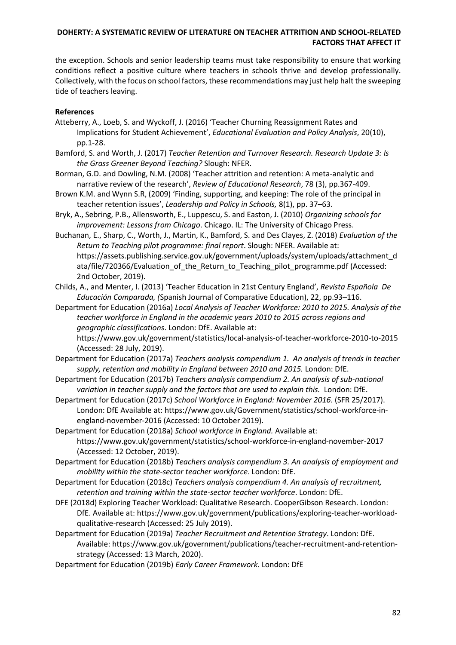the exception. Schools and senior leadership teams must take responsibility to ensure that working conditions reflect a positive culture where teachers in schools thrive and develop professionally. Collectively, with the focus on school factors, these recommendations may just help halt the sweeping tide of teachers leaving.

# **References**

- Atteberry, A., Loeb, S. and Wyckoff, J. (2016) 'Teacher Churning Reassignment Rates and Implications for Student Achievement', *Educational Evaluation and Policy Analysis*, 20(10), pp.1-28.
- Bamford, S. and Worth, J. (2017) *Teacher Retention and Turnover Research. Research Update 3: Is the Grass Greener Beyond Teaching?* Slough: NFER.
- Borman, G.D. and Dowling, N.M. (2008) 'Teacher attrition and retention: A meta-analytic and narrative review of the research', *Review of Educational Research*, 78 (3), pp.367-409.
- Brown K.M. and Wynn S.R, (2009) 'Finding, supporting, and keeping: The role of the principal in teacher retention issues', *Leadership and Policy in Schools,* 8(1), pp. 37–63.
- Bryk, A., Sebring, P.B., Allensworth, E., Luppescu, S. and Easton, J. (2010) *Organizing schools for improvement: Lessons from Chicago*. Chicago. IL: The University of Chicago Press.
- Buchanan, E., Sharp, C., Worth, J., Martin, K., Bamford, S. and Des Clayes, Z. (2018) *Evaluation of the Return to Teaching pilot programme: final report*. Slough: NFER. Available at: https://assets.publishing.service.gov.uk/government/uploads/system/uploads/attachment\_d ata/file/720366/Evaluation\_of\_the\_Return\_to\_Teaching\_pilot\_programme.pdf (Accessed: 2nd October, 2019).
- Childs, A., and Menter, I. (2013) 'Teacher Education in 21st Century England', *Revista Española De Educación Comparada, (*Spanish Journal of Comparative Education), 22, pp.93–116.
- Department for Education (2016a) *Local Analysis of Teacher Workforce: 2010 to 2015. Analysis of the teacher workforce in England in the academic years 2010 to 2015 across regions and geographic classifications*. London: DfE. Available at:

https://www.gov.uk/government/statistics/local-analysis-of-teacher-workforce-2010-to-2015 (Accessed: 28 July, 2019).

- Department for Education (2017a) *Teachers analysis compendium 1. An analysis of trends in teacher supply, retention and mobility in England between 2010 and 2015.* London: DfE.
- Department for Education (2017b) *Teachers analysis compendium 2. An analysis of sub-national variation in teacher supply and the factors that are used to explain this.* London: DfE.
- Department for Education (2017c) *School Workforce in England: November 2016*. (SFR 25/2017). London: DfE Available at: https://www.gov.uk/Government/statistics/school-workforce-inengland-november-2016 (Accessed: 10 October 2019).
- Department for Education (2018a) *School workforce in England.* Available at: <https://www.gov.uk/government/statistics/school-workforce-in-england-november-2017> (Accessed: 12 October, 2019).
- Department for Education (2018b) *Teachers analysis compendium 3. An analysis of employment and mobility within the state-sector teacher workforce*. London: DfE.
- Department for Education (2018c) *Teachers analysis compendium 4. An analysis of recruitment, retention and training within the state-sector teacher workforce*. London: DfE.
- DFE (2018d) Exploring Teacher Workload: Qualitative Research. CooperGibson Research. London: DfE. Available at: https://www.gov.uk/government/publications/exploring-teacher-workloadqualitative-research (Accessed: 25 July 2019).
- Department for Education (2019a) *Teacher Recruitment and Retention Strategy*. London: DfE. Available: https://www.gov.uk/government/publications/teacher-recruitment-and-retentionstrategy (Accessed: 13 March, 2020).
- Department for Education (2019b) *Early Career Framework*. London: DfE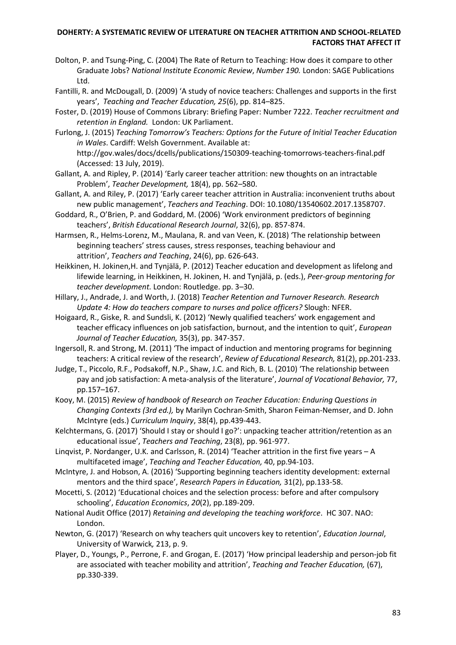- Dolton, P. and Tsung-Ping, C. (2004) The Rate of Return to Teaching: How does it compare to other Graduate Jobs? *National Institute Economic Review*, *Number 190.* London: SAGE Publications Ltd.
- Fantilli, R. and McDougall, D. (2009) 'A study of novice teachers: Challenges and supports in the first years', *Teaching and Teacher Education, 25*(6), pp. 814–825.
- Foster, D. (2019) House of Commons Library: Briefing Paper: Number 7222. *Teacher recruitment and retention in England.* London: UK Parliament.
- Furlong, J. (2015) *Teaching Tomorrow's Teachers: Options for the Future of Initial Teacher Education in Wales*. Cardiff: Welsh Government. Available at: http://gov.wales/docs/dcells/publications/150309-teaching-tomorrows-teachers-final.pdf (Accessed: 13 July, 2019).
- Gallant, A. and Ripley, P. (2014) 'Early career teacher attrition: new thoughts on an intractable Problem', *Teacher Development,* 18(4), pp. 562–580.
- Gallant, A. and Riley, P. (2017) 'Early career teacher attrition in Australia: inconvenient truths about new public management', *Teachers and Teaching*. DOI: 10.1080/13540602.2017.1358707.
- Goddard, R., O'Brien, P. and Goddard, M. (2006) 'Work environment predictors of beginning teachers', *British Educational Research Journal*, 32(6), pp. 857-874.
- Harmsen, R., Helms-Lorenz, M., Maulana, R. and van Veen, K. (2018) 'The relationship between beginning teachers' stress causes, stress responses, teaching behaviour and attrition', *Teachers and Teaching*, 24(6), pp. 626-643.
- Heikkinen, H. Jokinen,H. and Tynjälä, P. (2012) Teacher education and development as lifelong and lifewide learning, in Heikkinen, H. Jokinen, H. and Tynjälä, p. (eds.), *Peer-group mentoring for teacher development.* London: Routledge. pp. 3–30.
- Hillary, J., Andrade, J. and Worth, J. (2018) *Teacher Retention and Turnover Research. Research Update 4: How do teachers compare to nurses and police officers?* Slough: NFER.
- Hoigaard, R., Giske, R. and Sundsli, K. (2012) 'Newly qualified teachers' work engagement and teacher efficacy influences on job satisfaction, burnout, and the intention to quit', *European Journal of Teacher Education,* 35(3), pp. 347-357.
- Ingersoll, R. and Strong, M. (2011) 'The impact of induction and mentoring programs for beginning teachers: A critical review of the research', *Review of Educational Research,* 81(2), pp.201-233.
- Judge, T., Piccolo, R.F., Podsakoff, N.P., Shaw, J.C. and Rich, B. L. (2010) 'The relationship between pay and job satisfaction: A meta-analysis of the literature', *Journal of Vocational Behavior,* 77, pp.157–167.
- Kooy, M. (2015) *Review of handbook of Research on Teacher Education: Enduring Questions in Changing Contexts (3rd ed.),* by Marilyn Cochran-Smith, Sharon Feiman-Nemser, and D. John McIntyre (eds.) *Curriculum Inquiry*, 38(4), pp.439-443.
- Kelchtermans, G. (2017) 'Should I stay or should I go?': unpacking teacher attrition/retention as an educational issue', *Teachers and Teaching*, 23(8), pp. 961-977.
- Linqvist, P. Nordanger, U.K. and Carlsson, R. (2014) 'Teacher attrition in the first five years A multifaceted image', *Teaching and Teacher Education,* 40, pp.94-103.
- McIntyre, J. and Hobson, A. (2016) 'Supporting beginning teachers identity development: external mentors and the third space', *Research Papers in Education,* 31(2), pp.133-58.
- Mocetti, S. (2012) 'Educational choices and the selection process: before and after compulsory schooling', *Education Economics*, *20*(2), pp.189-209.
- National Audit Office (2017) *Retaining and developing the teaching workforce*. HC 307. NAO: London.
- Newton, G. (2017) 'Research on why teachers quit uncovers key to retention', *Education Journal*, University of Warwick*,* 213, p. 9.
- Player, D., Youngs, P., Perrone, F. and Grogan, E. (2017) 'How principal leadership and person-job fit are associated with teacher mobility and attrition', *Teaching and Teacher Education,* (67), pp.330-339.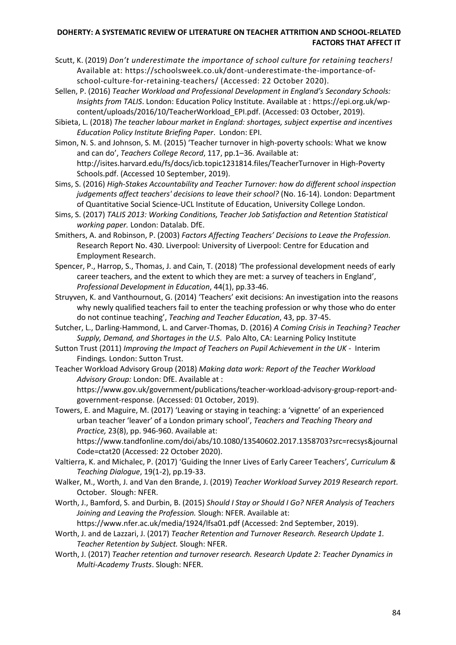- Scutt, K. (2019) *Don't underestimate the importance of school culture for retaining teachers!*  Available at: [https://schoolsweek.co.uk/dont-underestimate-the-importance-of](https://schoolsweek.co.uk/dont-underestimate-the-importance-of-school-culture-for-retaining-teachers/)[school-culture-for-retaining-teachers/](https://schoolsweek.co.uk/dont-underestimate-the-importance-of-school-culture-for-retaining-teachers/) (Accessed: 22 October 2020).
- Sellen, P. (2016) *Teacher Workload and Professional Development in England's Secondary Schools: Insights from TALIS*. London: Education Policy Institute. Available at : [https://epi.org.uk/wp](https://epi.org.uk/wp-content/uploads/2016/10/TeacherWorkload_EPI.pdf)[content/uploads/2016/10/TeacherWorkload\\_EPI.pdf.](https://epi.org.uk/wp-content/uploads/2016/10/TeacherWorkload_EPI.pdf) (Accessed: 03 October, 2019).
- Sibieta, L. (2018) *The teacher labour market in England: shortages, subject expertise and incentives Education Policy Institute Briefing Paper*. London: EPI.
- Simon, N. S. and Johnson, S. M. (2015) 'Teacher turnover in high-poverty schools: What we know and can do', *Teachers College Record*, 117, pp.1–36. Available at: http://isites.harvard.edu/fs/docs/icb.topic1231814.files/TeacherTurnover in High-Poverty Schools.pdf. (Accessed 10 September, 2019).
- Sims, S. (2016) *High-Stakes Accountability and Teacher Turnover: how do different school inspection judgements affect teachers' decisions to leave their school?* (No. 16-14). London: Department of Quantitative Social Science-UCL Institute of Education, University College London.
- Sims, S. (2017) *TALIS 2013: Working Conditions, Teacher Job Satisfaction and Retention Statistical working paper.* London: Datalab. DfE.
- Smithers, A. and Robinson, P. (2003) *Factors Affecting Teachers' Decisions to Leave the Profession.* Research Report No. 430. Liverpool: University of Liverpool: Centre for Education and Employment Research.
- Spencer, P., Harrop, S., Thomas, J. and Cain, T. (2018) 'The professional development needs of early career teachers, and the extent to which they are met: a survey of teachers in England', *Professional Development in Education*, 44(1), pp.33-46.
- Struyven, K. and Vanthournout, G. (2014) 'Teachers' exit decisions: An investigation into the reasons why newly qualified teachers fail to enter the teaching profession or why those who do enter do not continue teaching', *Teaching and Teacher Education*, 43, pp. 37-45.
- Sutcher, L., Darling-Hammond, L. and Carver-Thomas, D. (2016) *A Coming Crisis in Teaching? Teacher Supply, Demand, and Shortages in the U.S*. Palo Alto, CA: Learning Policy Institute
- Sutton Trust (2011) *Improving the Impact of Teachers on Pupil Achievement in the UK* Interim Findings*.* London: Sutton Trust.
- Teacher Workload Advisory Group (2018) *Making data work: Report of the Teacher Workload Advisory Group:* London: DfE. Available at : [https://www.gov.uk/government/publications/teacher-workload-advisory-group-report-and](https://www.gov.uk/government/publications/teacher-workload-advisory-group-report-and-government-response)[government-response.](https://www.gov.uk/government/publications/teacher-workload-advisory-group-report-and-government-response) (Accessed: 01 October, 2019).
- Towers, E. and Maguire, M. (2017) 'Leaving or staying in teaching: a 'vignette' of an experienced urban teacher 'leaver' of a London primary school', *Teachers and Teaching Theory and Practice,* 23(8), pp. 946-960. Available at:

[https://www.tandfonline.com/doi/abs/10.1080/13540602.2017.1358703?src=recsys&journal](https://www.tandfonline.com/doi/abs/10.1080/13540602.2017.1358703?src=recsys&journalCode=ctat20) [Code=ctat20](https://www.tandfonline.com/doi/abs/10.1080/13540602.2017.1358703?src=recsys&journalCode=ctat20) (Accessed: 22 October 2020).

- Valtierra, K. and Michalec, P. (2017) 'Guiding the Inner Lives of Early Career Teachers'*, Curriculum & Teaching Dialogue*, 19(1-2), pp.19-33.
- Walker, M., Worth, J. and Van den Brande, J. (2019) *Teacher Workload Survey 2019 Research report.* October. Slough: NFER.
- Worth, J., Bamford, S. and Durbin, B. (2015) *Should I Stay or Should I Go? NFER Analysis of Teachers Joining and Leaving the Profession.* Slough: NFER. Available at: https://www.nfer.ac.uk/media/1924/lfsa01.pdf (Accessed: 2nd September, 2019).

Worth, J. and de Lazzari, J. (2017) *Teacher Retention and Turnover Research. Research Update 1. Teacher Retention by Subject.* Slough: NFER.

Worth, J. (2017) *Teacher retention and turnover research. Research Update 2: Teacher Dynamics in Multi-Academy Trusts*. Slough: NFER.